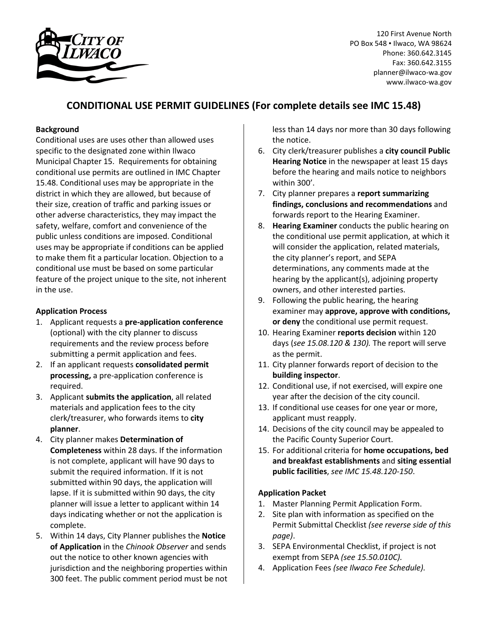

120 First Avenue North PO Box 548 • Ilwaco, WA 98624 Phone: 360.642.3145 Fax: 360.642.3155 planner@ilwaco-wa.gov www.ilwaco-wa.gov

# **CONDITIONAL USE PERMIT GUIDELINES (For complete details see IMC 15.48)**

## **Background**

Conditional uses are uses other than allowed uses specific to the designated zone within Ilwaco Municipal Chapter 15. Requirements for obtaining conditional use permits are outlined in IMC Chapter 15.48. Conditional uses may be appropriate in the district in which they are allowed, but because of their size, creation of traffic and parking issues or other adverse characteristics, they may impact the safety, welfare, comfort and convenience of the public unless conditions are imposed. Conditional uses may be appropriate if conditions can be applied to make them fit a particular location. Objection to a conditional use must be based on some particular feature of the project unique to the site, not inherent in the use.

#### **Application Process**

- 1. Applicant requests a **pre-application conference** (optional) with the city planner to discuss requirements and the review process before submitting a permit application and fees.
- 2. If an applicant requests **consolidated permit processing,** a pre-application conference is required.
- 3. Applicant **submits the application**, all related materials and application fees to the city clerk/treasurer, who forwards items to **city planner**.
- 4. City planner makes **Determination of Completeness** within 28 days. If the information is not complete, applicant will have 90 days to submit the required information. If it is not submitted within 90 days, the application will lapse. If it is submitted within 90 days, the city planner will issue a letter to applicant within 14 days indicating whether or not the application is complete.
- 5. Within 14 days, City Planner publishes the **Notice of Application** in the *Chinook Observer* and sends out the notice to other known agencies with jurisdiction and the neighboring properties within 300 feet. The public comment period must be not

less than 14 days nor more than 30 days following the notice.

- 6. City clerk/treasurer publishes a **city council Public Hearing Notice** in the newspaper at least 15 days before the hearing and mails notice to neighbors within 300'.
- 7. City planner prepares a **report summarizing findings, conclusions and recommendations** and forwards report to the Hearing Examiner.
- 8. **Hearing Examiner** conducts the public hearing on the conditional use permit application, at which it will consider the application, related materials, the city planner's report, and SEPA determinations, any comments made at the hearing by the applicant(s), adjoining property owners, and other interested parties.
- 9. Following the public hearing, the hearing examiner may **approve, approve with conditions, or deny** the conditional use permit request.
- 10. Hearing Examiner **reports decision** within 120 days (*see 15.08.120 & 130).* The report will serve as the permit.
- 11. City planner forwards report of decision to the **building inspector**.
- 12. Conditional use, if not exercised, will expire one year after the decision of the city council.
- 13. If conditional use ceases for one year or more, applicant must reapply.
- 14. Decisions of the city council may be appealed to the Pacific County Superior Court.
- 15. For additional criteria for **home occupations, bed and breakfast establishments** and **siting essential public facilities**, *see IMC 15.48.120-150*.

#### **Application Packet**

- 1. Master Planning Permit Application Form.
- 2. Site plan with information as specified on the Permit Submittal Checklist *(see reverse side of this page)*.
- 3. SEPA Environmental Checklist, if project is not exempt from SEPA *(see 15.50.010C).*
- 4. Application Fees *(see Ilwaco Fee Schedule).*